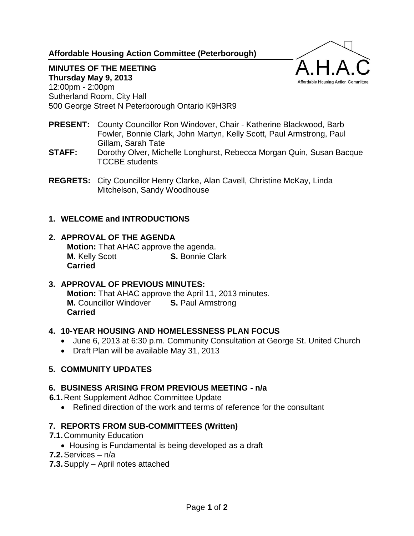**Affordable Housing Action Committee (Peterborough)**



#### **MINUTES OF THE MEETING Thursday May 9, 2013**

12:00pm - 2:00pm Sutherland Room, City Hall 500 George Street N Peterborough Ontario K9H3R9

- **PRESENT:** County Councillor Ron Windover, Chair Katherine Blackwood, Barb Fowler, Bonnie Clark, John Martyn, Kelly Scott, Paul Armstrong, Paul Gillam, Sarah Tate
- **STAFF:** Dorothy Olver, Michelle Longhurst, Rebecca Morgan Quin, Susan Bacque TCCBE students
- **REGRETS:** City Councillor Henry Clarke, Alan Cavell, Christine McKay, Linda Mitchelson, Sandy Woodhouse

### **1. WELCOME and INTRODUCTIONS**

#### **2. APPROVAL OF THE AGENDA**

**Motion:** That AHAC approve the agenda. **M.** Kelly Scott **S.** Bonnie Clark **Carried**

# **3. APPROVAL OF PREVIOUS MINUTES:**

**Motion:** That AHAC approve the April 11, 2013 minutes. **M.** Councillor Windover **S.** Paul Armstrong **Carried**

#### **4. 10-YEAR HOUSING AND HOMELESSNESS PLAN FOCUS**

- June 6, 2013 at 6:30 p.m. Community Consultation at George St. United Church
- Draft Plan will be available May 31, 2013

#### **5. COMMUNITY UPDATES**

#### **6. BUSINESS ARISING FROM PREVIOUS MEETING - n/a**

- **6.1.**Rent Supplement Adhoc Committee Update
	- Refined direction of the work and terms of reference for the consultant

### **7. REPORTS FROM SUB-COMMITTEES (Written)**

- **7.1.**Community Education
	- Housing is Fundamental is being developed as a draft
- **7.2.**Services n/a
- **7.3.**Supply April notes attached